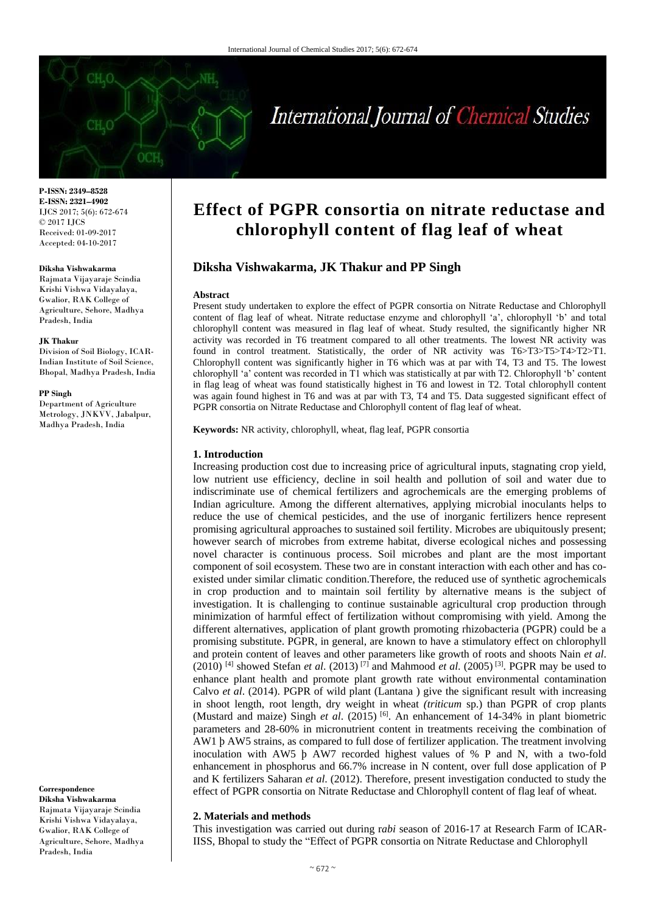# International Journal of Chemical Studies

**P-ISSN: 2349–8528 E-ISSN: 2321–4902** IJCS 2017; 5(6): 672-674 © 2017 IJCS Received: 01-09-2017 Accepted: 04-10-2017

#### **Diksha Vishwakarma**

Rajmata Vijayaraje Scindia Krishi Vishwa Vidayalaya, Gwalior, RAK College of Agriculture, Sehore, Madhya Pradesh, India

#### **JK Thakur**

Division of Soil Biology, ICAR-Indian Institute of Soil Science, Bhopal, Madhya Pradesh, India

#### **PP Singh**

Department of Agriculture Metrology, JNKVV, Jabalpur, Madhya Pradesh, India

**Correspondence Diksha Vishwakarma** Rajmata Vijayaraje Scindia Krishi Vishwa Vidayalaya, Gwalior, RAK College of Agriculture, Sehore, Madhya Pradesh, India

# **Effect of PGPR consortia on nitrate reductase and chlorophyll content of flag leaf of wheat**

# **Diksha Vishwakarma, JK Thakur and PP Singh**

#### **Abstract**

Present study undertaken to explore the effect of PGPR consortia on Nitrate Reductase and Chlorophyll content of flag leaf of wheat. Nitrate reductase enzyme and chlorophyll 'a', chlorophyll 'b' and total chlorophyll content was measured in flag leaf of wheat. Study resulted, the significantly higher NR activity was recorded in T6 treatment compared to all other treatments. The lowest NR activity was found in control treatment. Statistically, the order of NR activity was T6>T3>T5>T4>T2>T1. Chlorophyll content was significantly higher in T6 which was at par with T4, T3 and T5. The lowest chlorophyll 'a' content was recorded in T1 which was statistically at par with T2. Chlorophyll 'b' content in flag leag of wheat was found statistically highest in T6 and lowest in T2. Total chlorophyll content was again found highest in T6 and was at par with T3, T4 and T5. Data suggested significant effect of PGPR consortia on Nitrate Reductase and Chlorophyll content of flag leaf of wheat.

**Keywords:** NR activity, chlorophyll, wheat, flag leaf, PGPR consortia

#### **1. Introduction**

Increasing production cost due to increasing price of agricultural inputs, stagnating crop yield, low nutrient use efficiency, decline in soil health and pollution of soil and water due to indiscriminate use of chemical fertilizers and agrochemicals are the emerging problems of Indian agriculture. Among the different alternatives, applying microbial inoculants helps to reduce the use of chemical pesticides, and the use of inorganic fertilizers hence represent promising agricultural approaches to sustained soil fertility. Microbes are ubiquitously present; however search of microbes from extreme habitat, diverse ecological niches and possessing novel character is continuous process. Soil microbes and plant are the most important component of soil ecosystem. These two are in constant interaction with each other and has coexisted under similar climatic condition.Therefore, the reduced use of synthetic agrochemicals in crop production and to maintain soil fertility by alternative means is the subject of investigation. It is challenging to continue sustainable agricultural crop production through minimization of harmful effect of fertilization without compromising with yield. Among the different alternatives, application of plant growth promoting rhizobacteria (PGPR) could be a promising substitute. PGPR, in general, are known to have a stimulatory effect on chlorophyll and protein content of leaves and other parameters like growth of roots and shoots Nain *et al*.  $(2010)$ <sup>[4]</sup> showed Stefan *et al.*  $(2013)$ <sup>[7]</sup> and Mahmood *et al.*  $(2005)$ <sup>[3]</sup>. PGPR may be used to enhance plant health and promote plant growth rate without environmental contamination Calvo *et al*. (2014). PGPR of wild plant (Lantana ) give the significant result with increasing in shoot length, root length, dry weight in wheat *(triticum* sp.) than PGPR of crop plants (Mustard and maize) Singh *et al*. (2015) [6] . An enhancement of 14-34% in plant biometric parameters and 28-60% in micronutrient content in treatments receiving the combination of AW1 þ AW5 strains, as compared to full dose of fertilizer application. The treatment involving inoculation with AW5 þ AW7 recorded highest values of % P and N, with a two-fold enhancement in phosphorus and 66.7% increase in N content, over full dose application of P and K fertilizers Saharan *et al*. (2012). Therefore, present investigation conducted to study the effect of PGPR consortia on Nitrate Reductase and Chlorophyll content of flag leaf of wheat.

### **2. Materials and methods**

This investigation was carried out during r*abi* season of 2016-17 at Research Farm of ICAR-IISS, Bhopal to study the "Effect of PGPR consortia on Nitrate Reductase and Chlorophyll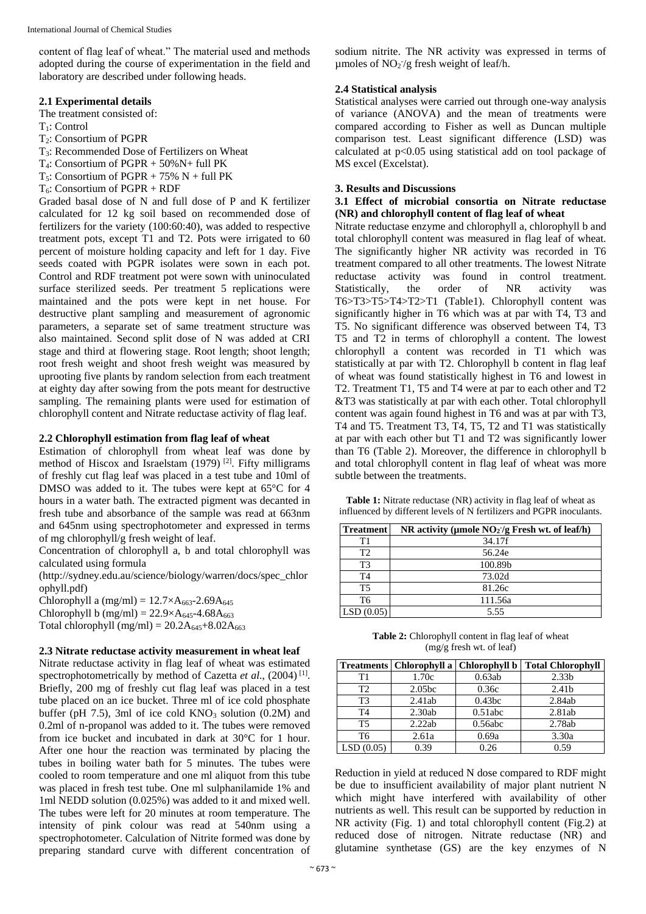content of flag leaf of wheat." The material used and methods adopted during the course of experimentation in the field and laboratory are described under following heads.

### **2.1 Experimental details**

The treatment consisted of:

- T1: Control
- T2: Consortium of PGPR
- T3: Recommended Dose of Fertilizers on Wheat
- $T_4$ : Consortium of PGPR + 50% N+ full PK
- $T_5$ : Consortium of PGPR + 75% N + full PK
- T6: Consortium of PGPR + RDF

Graded basal dose of N and full dose of P and K fertilizer calculated for 12 kg soil based on recommended dose of fertilizers for the variety (100:60:40), was added to respective treatment pots, except T1 and T2. Pots were irrigated to 60 percent of moisture holding capacity and left for 1 day. Five seeds coated with PGPR isolates were sown in each pot. Control and RDF treatment pot were sown with uninoculated surface sterilized seeds. Per treatment 5 replications were maintained and the pots were kept in net house. For destructive plant sampling and measurement of agronomic parameters, a separate set of same treatment structure was also maintained. Second split dose of N was added at CRI stage and third at flowering stage. Root length; shoot length; root fresh weight and shoot fresh weight was measured by uprooting five plants by random selection from each treatment at eighty day after sowing from the pots meant for destructive sampling. The remaining plants were used for estimation of chlorophyll content and Nitrate reductase activity of flag leaf.

#### **2.2 Chlorophyll estimation from flag leaf of wheat**

Estimation of chlorophyll from wheat leaf was done by method of Hiscox and Israelstam  $(1979)$ <sup>[2]</sup>. Fifty milligrams of freshly cut flag leaf was placed in a test tube and 10ml of DMSO was added to it. The tubes were kept at 65°C for 4 hours in a water bath. The extracted pigment was decanted in fresh tube and absorbance of the sample was read at 663nm and 645nm using spectrophotometer and expressed in terms of mg chlorophyll/g fresh weight of leaf.

Concentration of chlorophyll a, b and total chlorophyll was calculated using formula

(http://sydney.edu.au/science/biology/warren/docs/spec\_chlor ophyll.pdf)

Chlorophyll a  $(mg/ml) = 12.7 \times A_{663} - 2.69 A_{645}$ Chlorophyll b (mg/ml) =  $22.9 \times A_{645} - 4.68A_{663}$ Total chlorophyll  $(mg/ml) = 20.2A_{645} + 8.02A_{663}$ 

# **2.3 Nitrate reductase activity measurement in wheat leaf**

Nitrate reductase activity in flag leaf of wheat was estimated spectrophotometrically by method of Cazetta et al., (2004)<sup>[1]</sup>. Briefly, 200 mg of freshly cut flag leaf was placed in a test tube placed on an ice bucket. Three ml of ice cold phosphate buffer (pH 7.5), 3ml of ice cold  $KNO<sub>3</sub>$  solution (0.2M) and 0.2ml of n-propanol was added to it. The tubes were removed from ice bucket and incubated in dark at 30°C for 1 hour. After one hour the reaction was terminated by placing the tubes in boiling water bath for 5 minutes. The tubes were cooled to room temperature and one ml aliquot from this tube was placed in fresh test tube. One ml sulphanilamide 1% and 1ml NEDD solution (0.025%) was added to it and mixed well. The tubes were left for 20 minutes at room temperature. The intensity of pink colour was read at 540nm using a spectrophotometer. Calculation of Nitrite formed was done by preparing standard curve with different concentration of sodium nitrite. The NR activity was expressed in terms of µmoles of  $NO<sub>2</sub>$  /g fresh weight of leaf/h.

#### **2.4 Statistical analysis**

Statistical analyses were carried out through one-way analysis of variance (ANOVA) and the mean of treatments were compared according to Fisher as well as Duncan multiple comparison test. Least significant difference (LSD) was calculated at p<0.05 using statistical add on tool package of MS excel (Excelstat).

#### **3. Results and Discussions**

#### **3.1 Effect of microbial consortia on Nitrate reductase (NR) and chlorophyll content of flag leaf of wheat**

Nitrate reductase enzyme and chlorophyll a, chlorophyll b and total chlorophyll content was measured in flag leaf of wheat. The significantly higher NR activity was recorded in T6 treatment compared to all other treatments. The lowest Nitrate reductase activity was found in control treatment. Statistically, the order of NR activity was T6>T3>T5>T4>T2>T1 (Table1). Chlorophyll content was significantly higher in T6 which was at par with T4, T3 and T5. No significant difference was observed between T4, T3 T5 and T2 in terms of chlorophyll a content. The lowest chlorophyll a content was recorded in T1 which was statistically at par with T2. Chlorophyll b content in flag leaf of wheat was found statistically highest in T6 and lowest in T2. Treatment T1, T5 and T4 were at par to each other and T2 &T3 was statistically at par with each other. Total chlorophyll content was again found highest in T6 and was at par with T3, T4 and T5. Treatment T3, T4, T5, T2 and T1 was statistically at par with each other but T1 and T2 was significantly lower than T6 (Table 2). Moreover, the difference in chlorophyll b and total chlorophyll content in flag leaf of wheat was more subtle between the treatments.

**Table 1:** Nitrate reductase (NR) activity in flag leaf of wheat as influenced by different levels of N fertilizers and PGPR inoculants.

| <b>Treatment</b> | NR activity (µmole $NO2$ /g Fresh wt. of leaf/h) |  |  |  |
|------------------|--------------------------------------------------|--|--|--|
| T1               | 34.17f                                           |  |  |  |
| T2               | 56.24e                                           |  |  |  |
| T3               | 100.89b                                          |  |  |  |
| T4               | 73.02d                                           |  |  |  |
| T <sub>5</sub>   | 81.26c                                           |  |  |  |
| T6               | 111.56a                                          |  |  |  |
| LSD(0.05)        | 5.55                                             |  |  |  |

| <b>Table 2:</b> Chlorophyll content in flag leaf of wheat |
|-----------------------------------------------------------|
| $(mg/g$ fresh wt. of leaf)                                |

|                | Treatments   Chlorophyll a   Chlorophyll b |         | <b>Total Chlorophyll</b> |
|----------------|--------------------------------------------|---------|--------------------------|
| T1             | 1.70c                                      | 0.63ab  | 2.33 <sub>b</sub>        |
| T2             | 2.05 <sub>bc</sub>                         | 0.36c   | 2.41 <sub>b</sub>        |
| T <sub>3</sub> | 2.41ab                                     | 0.43bc  | 2.84ab                   |
| T <sub>4</sub> | 2.30ab                                     | 0.51abc | 2.81ab                   |
| T <sub>5</sub> | 2.22ab                                     | 0.56abc | 2.78ab                   |
| T <sub>6</sub> | 2.61a                                      | 0.69a   | 3.30a                    |
| LSD(0.05)      | 0.39                                       | 0.26    | 0.59                     |

Reduction in yield at reduced N dose compared to RDF might be due to insufficient availability of major plant nutrient N which might have interfered with availability of other nutrients as well. This result can be supported by reduction in NR activity (Fig. 1) and total chlorophyll content (Fig.2) at reduced dose of nitrogen. Nitrate reductase (NR) and glutamine synthetase (GS) are the key enzymes of N